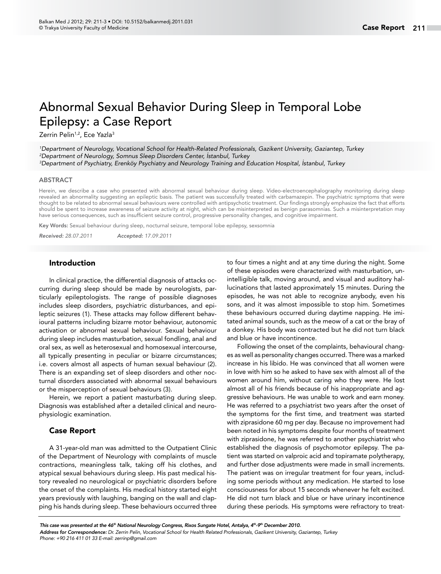# Abnormal Sexual Behavior During Sleep in Temporal Lobe Epilepsy: a Case Report

Zerrin Pelin<sup>1,2</sup>, Ece Yazla<sup>3</sup>

*1 Department of Neurology, Vocational School for Health-Related Professionals, Gazikent University, Gaziantep, Turkey 2 Department of Neurology, Somnus Sleep Disorders Center, İstanbul, Turkey 3 Department of Psychiatry, Erenköy Psychiatry and Neurology Training and Education Hospital, İstanbul, Turkey*

#### ABSTRACT

Herein, we describe a case who presented with abnormal sexual behaviour during sleep. Video-electroencephalography monitoring during sleep revealed an abnormality suggesting an epileptic basis. The patient was successfully treated with carbamazepin. The psychiatric symptoms that were thought to be related to abnormal sexual behaviours were controlled with antipsychotic treatment. Our findings strongly emphasize the fact that efforts should be spent to increase awareness of seizure activity at night, which can be misinterpreted as benign parasomnias. Such a misinterpretation may have serious consequences, such as insufficient seizure control, progressive personality changes, and cognitive impairment.

Key Words: Sexual behaviour during sleep, nocturnal seizure, temporal lobe epilepsy, sexsomnia

*Received: 28.07.2011 Accepted: 17.09.2011*

### Introduction

In clinical practice, the differential diagnosis of attacks occurring during sleep should be made by neurologists, particularly epileptologists. The range of possible diagnoses includes sleep disorders, psychiatric disturbances, and epileptic seizures (1). These attacks may follow different behavioural patterns including bizarre motor behaviour, autonomic activation or abnormal sexual behaviour. Sexual behaviour during sleep includes masturbation, sexual fondling, anal and oral sex, as well as heterosexual and homosexual intercourse, all typically presenting in peculiar or bizarre circumstances; i.e. covers almost all aspects of human sexual behaviour (2). There is an expanding set of sleep disorders and other nocturnal disorders associated with abnormal sexual behaviours or the misperception of sexual behaviours (3).

Herein, we report a patient masturbating during sleep. Diagnosis was established after a detailed clinical and neurophysiologic examination.

## Case Report

A 31-year-old man was admitted to the Outpatient Clinic of the Department of Neurology with complaints of muscle contractions, meaningless talk, taking off his clothes, and atypical sexual behaviours during sleep. His past medical history revealed no neurological or psychiatric disorders before the onset of the complaints. His medical history started eight years previously with laughing, banging on the wall and clapping his hands during sleep. These behaviours occurred three to four times a night and at any time during the night. Some of these episodes were characterized with masturbation, unintelligible talk, moving around, and visual and auditory hallucinations that lasted approximately 15 minutes. During the episodes, he was not able to recognize anybody, even his sons, and it was almost impossible to stop him. Sometimes these behaviours occurred during daytime napping. He imitated animal sounds, such as the meow of a cat or the bray of a donkey. His body was contracted but he did not turn black and blue or have incontinence.

Following the onset of the complaints, behavioural changes as well as personality changes occurred. There was a marked increase in his libido. He was convinced that all women were in love with him so he asked to have sex with almost all of the women around him, without caring who they were. He lost almost all of his friends because of his inappropriate and aggressive behaviours. He was unable to work and earn money. He was referred to a psychiatrist two years after the onset of the symptoms for the first time, and treatment was started with ziprasidone 60 mg per day. Because no improvement had been noted in his symptoms despite four months of treatment with ziprasidone, he was referred to another psychiatrist who established the diagnosis of psychomotor epilepsy. The patient was started on valproic acid and topiramate polytherapy, and further dose adjustments were made in small increments. The patient was on irregular treatment for four years, including some periods without any medication. He started to lose consciousness for about 15 seconds whenever he felt excited. He did not turn black and blue or have urinary incontinence during these periods. His symptoms were refractory to treat-

*Address for Correspondence: Dr. Zerrin Pelin, Vocational School for Health Related Professionals, Gazikent University, Gaziantep, Turkey Phone: +90 216 411 01 33 E-mail: zerrinp@gmail.com This case was presented at the 46th National Neurology Congress, Rixos Sungate Hotel, Antalya, 4th-9th December 2010.*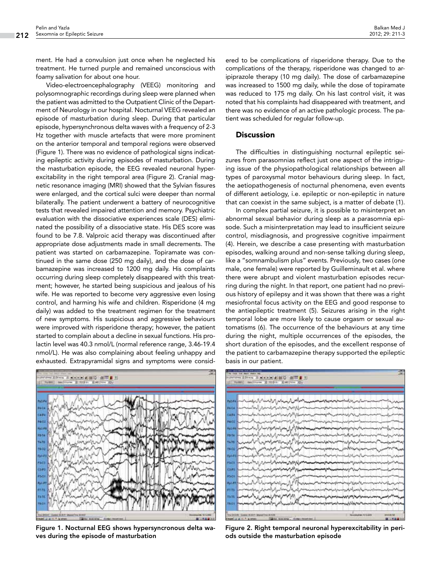ment. He had a convulsion just once when he neglected his treatment. He turned purple and remained unconscious with foamy salivation for about one hour.

Video-electroencephalography (VEEG) monitoring and polysomnographic recordings during sleep were planned when the patient was admitted to the Outpatient Clinic of the Department of Neurology in our hospital. Nocturnal VEEG revealed an episode of masturbation during sleep. During that particular episode, hypersynchronous delta waves with a frequency of 2-3 Hz together with muscle artefacts that were more prominent on the anterior temporal and temporal regions were observed (Figure 1). There was no evidence of pathological signs indicating epileptic activity during episodes of masturbation. During the masturbation episode, the EEG revealed neuronal hyperexcitability in the right temporal area (Figure 2). Cranial magnetic resonance imaging (MRI) showed that the Sylvian fissures were enlarged, and the cortical sulci were deeper than normal bilaterally. The patient underwent a battery of neurocognitive tests that revealed impaired attention and memory. Psychiatric evaluation with the dissociative experiences scale (DES) eliminated the possibility of a dissociative state. His DES score was found to be 7.8. Valproic acid therapy was discontinued after appropriate dose adjustments made in small decrements. The patient was started on carbamazepine. Topiramate was continued in the same dose (250 mg daily), and the dose of carbamazepine was increased to 1200 mg daily. His complaints occurring during sleep completely disappeared with this treatment; however, he started being suspicious and jealous of his wife. He was reported to become very aggressive even losing control, and harming his wife and children. Risperidone (4 mg daily) was added to the treatment regimen for the treatment of new symptoms. His suspicious and aggressive behaviours were improved with risperidone therapy; however, the patient started to complain about a decline in sexual functions. His prolactin level was 40.3 nmol/L (normal reference range, 3.46-19.4 nmol/L). He was also complaining about feeling unhappy and exhausted. Extrapyramidal signs and symptoms were consid-



Figure 1. Nocturnal EEG shows hypersyncronous delta waves during the episode of masturbation

ered to be complications of risperidone therapy. Due to the complications of the therapy, risperidone was changed to aripiprazole therapy (10 mg daily). The dose of carbamazepine was increased to 1500 mg daily, while the dose of topiramate was reduced to 175 mg daily. On his last control visit, it was noted that his complaints had disappeared with treatment, and there was no evidence of an active pathologic process. The patient was scheduled for regular follow-up.

#### **Discussion**

The difficulties in distinguishing nocturnal epileptic seizures from parasomnias reflect just one aspect of the intriguing issue of the physiopathological relationships between all types of paroxysmal motor behaviours during sleep. In fact, the aetiopathogenesis of nocturnal phenomena, even events of different aetiology, i.e. epileptic or non-epileptic in nature that can coexist in the same subject, is a matter of debate (1).

In complex partial seizure, it is possible to misinterpret an abnormal sexual behavior during sleep as a parasomnia episode. Such a misinterpretation may lead to insufficient seizure control, misdiagnosis, and progressive cognitive impairment (4). Herein, we describe a case presenting with masturbation episodes, walking around and non-sense talking during sleep, like a "somnambulism plus" events. Previously, two cases (one male, one female) were reported by Guilleminault et al. where there were abrupt and violent masturbation episodes recurring during the night. In that report, one patient had no previous history of epilepsy and it was shown that there was a right mesiofrontal focus activity on the EEG and good response to the antiepileptic treatment (5). Seizures arising in the right temporal lobe are more likely to cause orgasm or sexual automatisms (6). The occurrence of the behaviours at any time during the night, multiple occurrences of the episodes, the short duration of the episodes, and the excellent response of the patient to carbamazepine therapy supported the epileptic basis in our patient.

| <b>FabF4</b>                      | www.manufun |              |    |  |
|-----------------------------------|-------------|--------------|----|--|
| <b>FAC4</b>                       |             |              |    |  |
| <b>EARA</b><br>بمها أمريب استحباه |             |              |    |  |
| PACIE                             |             |              |    |  |
| <b>Foo FB</b>                     | www.my      |              |    |  |
| <b>MSTA</b>                       | mylmorehand |              |    |  |
| TATE A                            | munich thin |              | We |  |
| <b>TS02</b>                       |             |              |    |  |
| Full                              | الخاسد      |              |    |  |
| 85/25                             | ل معاويات   | かいん          |    |  |
| CS/FS                             |             | mmmmmm       |    |  |
| 85-01                             |             |              |    |  |
|                                   |             | A PV         |    |  |
| سراديا إحماداه مهدم<br>87.73      | Jehry       | <b>SALMU</b> |    |  |
| 13-76                             | بممر        |              |    |  |
| TROT P                            |             |              |    |  |

Figure 2. Right temporal neuronal hyperexcitability in periods outside the masturbation episode